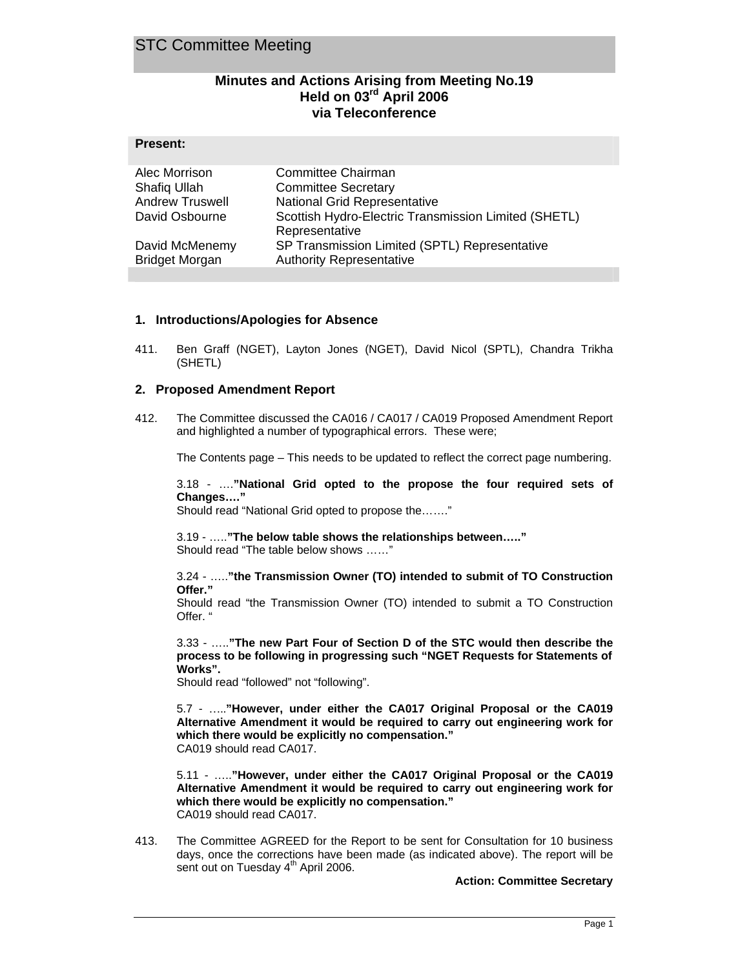## STC Committee Meeting

**Present:** 

### **Minutes and Actions Arising from Meeting No.19 Held on 03rd April 2006 via Teleconference**

| 1100011                |                                                                        |
|------------------------|------------------------------------------------------------------------|
| Alec Morrison          | Committee Chairman                                                     |
| Shafiq Ullah           | <b>Committee Secretary</b>                                             |
| <b>Andrew Truswell</b> | National Grid Representative                                           |
| David Osbourne         | Scottish Hydro-Electric Transmission Limited (SHETL)<br>Representative |
| David McMenemy         | SP Transmission Limited (SPTL) Representative                          |
| <b>Bridget Morgan</b>  | <b>Authority Representative</b>                                        |

#### **1. Introductions/Apologies for Absence**

411. Ben Graff (NGET), Layton Jones (NGET), David Nicol (SPTL), Chandra Trikha (SHETL)

#### **2. Proposed Amendment Report**

412. The Committee discussed the CA016 / CA017 / CA019 Proposed Amendment Report and highlighted a number of typographical errors. These were;

The Contents page – This needs to be updated to reflect the correct page numbering.

3.18 - ….**"National Grid opted to the propose the four required sets of Changes…."** 

Should read "National Grid opted to propose the……."

3.19 - …..**"The below table shows the relationships between….."** Should read "The table below shows ……"

3.24 - …..**"the Transmission Owner (TO) intended to submit of TO Construction Offer."**

Should read "the Transmission Owner (TO) intended to submit a TO Construction Offer. "

3.33 - …..**"The new Part Four of Section D of the STC would then describe the process to be following in progressing such "NGET Requests for Statements of Works".** 

Should read "followed" not "following".

5.7 - …..**"However, under either the CA017 Original Proposal or the CA019 Alternative Amendment it would be required to carry out engineering work for which there would be explicitly no compensation."**  CA019 should read CA017.

5.11 - …..**"However, under either the CA017 Original Proposal or the CA019 Alternative Amendment it would be required to carry out engineering work for which there would be explicitly no compensation."** CA019 should read CA017.

413. The Committee AGREED for the Report to be sent for Consultation for 10 business days, once the corrections have been made (as indicated above). The report will be sent out on Tuesday  $4<sup>th</sup>$  April 2006.

**Action: Committee Secretary**